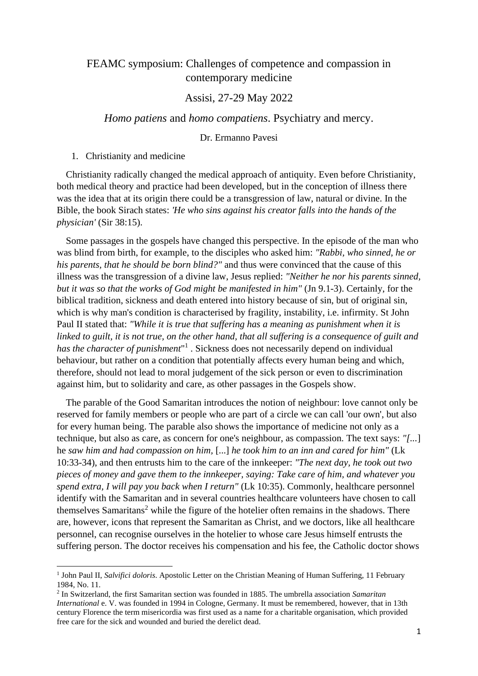# FEAMC symposium: Challenges of competence and compassion in contemporary medicine

# Assisi, 27-29 May 2022

## *Homo patiens* and *homo compatiens*. Psychiatry and mercy.

## Dr. Ermanno Pavesi

1. Christianity and medicine

Christianity radically changed the medical approach of antiquity. Even before Christianity, both medical theory and practice had been developed, but in the conception of illness there was the idea that at its origin there could be a transgression of law, natural or divine. In the Bible, the book Sirach states: *'He who sins against his creator falls into the hands of the physician'* (Sir 38:15).

Some passages in the gospels have changed this perspective. In the episode of the man who was blind from birth, for example, to the disciples who asked him: *"Rabbi, who sinned, he or his parents, that he should be born blind?"* and thus were convinced that the cause of this illness was the transgression of a divine law, Jesus replied: *"Neither he nor his parents sinned, but it was so that the works of God might be manifested in him"* (Jn 9.1-3). Certainly, for the biblical tradition, sickness and death entered into history because of sin, but of original sin, which is why man's condition is characterised by fragility, instability, i.e. infirmity. St John Paul II stated that: *"While it is true that suffering has a meaning as punishment when it is linked to guilt, it is not true, on the other hand, that all suffering is a consequence of guilt and*  has the character of punishment<sup>"1</sup>. Sickness does not necessarily depend on individual behaviour, but rather on a condition that potentially affects every human being and which, therefore, should not lead to moral judgement of the sick person or even to discrimination against him, but to solidarity and care, as other passages in the Gospels show.

The parable of the Good Samaritan introduces the notion of neighbour: love cannot only be reserved for family members or people who are part of a circle we can call 'our own', but also for every human being. The parable also shows the importance of medicine not only as a technique, but also as care, as concern for one's neighbour, as compassion. The text says: *"[...*] he *saw him and had compassion on him,* [...] *he took him to an inn and cared for him"* (Lk 10:33-34), and then entrusts him to the care of the innkeeper: *"The next day, he took out two pieces of money and gave them to the innkeeper, saying: Take care of him, and whatever you spend extra, I will pay you back when I return"* (Lk 10:35). Commonly, healthcare personnel identify with the Samaritan and in several countries healthcare volunteers have chosen to call themselves Samaritans<sup>2</sup> while the figure of the hotelier often remains in the shadows. There are, however, icons that represent the Samaritan as Christ, and we doctors, like all healthcare personnel, can recognise ourselves in the hotelier to whose care Jesus himself entrusts the suffering person. The doctor receives his compensation and his fee, the Catholic doctor shows

<sup>&</sup>lt;sup>1</sup> John Paul II, Salvifici doloris. Apostolic Letter on the Christian Meaning of Human Suffering, 11 February 1984, No. 11.

<sup>2</sup> In Switzerland, the first Samaritan section was founded in 1885. The umbrella association *Samaritan International* e. V. was founded in 1994 in Cologne, Germany. It must be remembered, however, that in 13th century Florence the term misericordia was first used as a name for a charitable organisation, which provided free care for the sick and wounded and buried the derelict dead.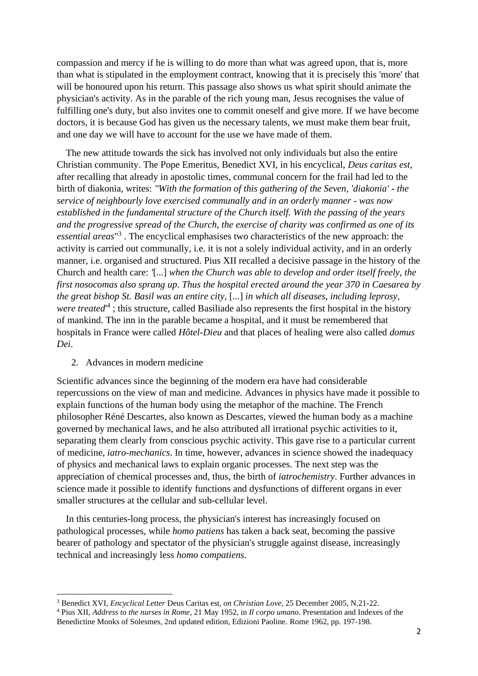compassion and mercy if he is willing to do more than what was agreed upon, that is, more than what is stipulated in the employment contract, knowing that it is precisely this 'more' that will be honoured upon his return. This passage also shows us what spirit should animate the physician's activity. As in the parable of the rich young man, Jesus recognises the value of fulfilling one's duty, but also invites one to commit oneself and give more. If we have become doctors, it is because God has given us the necessary talents, we must make them bear fruit, and one day we will have to account for the use we have made of them.

The new attitude towards the sick has involved not only individuals but also the entire Christian community. The Pope Emeritus, Benedict XVI, in his encyclical, *Deus caritas est*, after recalling that already in apostolic times, communal concern for the frail had led to the birth of diakonia, writes: *"With the formation of this gathering of the Seven, 'diakonia' - the service of neighbourly love exercised communally and in an orderly manner - was now established in the fundamental structure of the Church itself. With the passing of the years and the progressive spread of the Church, the exercise of charity was confirmed as one of its essential areas*" 3 . The encyclical emphasises two characteristics of the new approach: the activity is carried out communally, i.e. it is not a solely individual activity, and in an orderly manner, i.e. organised and structured. Pius XII recalled a decisive passage in the history of the Church and health care: *'*[...] *when the Church was able to develop and order itself freely, the first nosocomas also sprang up. Thus the hospital erected around the year 370 in Caesarea by the great bishop St. Basil was an entire city,* [...] *in which all diseases, including leprosy,*  were treated<sup>14</sup>; this structure, called Basiliade also represents the first hospital in the history of mankind. The inn in the parable became a hospital, and it must be remembered that hospitals in France were called *Hôtel-Dieu* and that places of healing were also called *domus Dei*.

#### 2. Advances in modern medicine

Scientific advances since the beginning of the modern era have had considerable repercussions on the view of man and medicine. Advances in physics have made it possible to explain functions of the human body using the metaphor of the machine. The French philosopher Réné Descartes, also known as Descartes, viewed the human body as a machine governed by mechanical laws, and he also attributed all irrational psychic activities to it, separating them clearly from conscious psychic activity. This gave rise to a particular current of medicine, *iatro-mechanics*. In time, however, advances in science showed the inadequacy of physics and mechanical laws to explain organic processes. The next step was the appreciation of chemical processes and, thus, the birth of *iatrochemistry*. Further advances in science made it possible to identify functions and dysfunctions of different organs in ever smaller structures at the cellular and sub-cellular level.

In this centuries-long process, the physician's interest has increasingly focused on pathological processes, while *homo patiens* has taken a back seat, becoming the passive bearer of pathology and spectator of the physician's struggle against disease, increasingly technical and increasingly less *homo compatiens.*

<sup>3</sup> Benedict XVI, *Encyclical Letter* Deus Caritas est*, on Christian Love*, 25 December 2005, N.21-22.

<sup>4</sup> Pius XII, *Address to the nurses in Rome*, 21 May 1952, in *Il corpo umano*. Presentation and Indexes of the Benedictine Monks of Solesmes, 2nd updated edition, Edizioni Paoline. Rome 1962, pp. 197-198.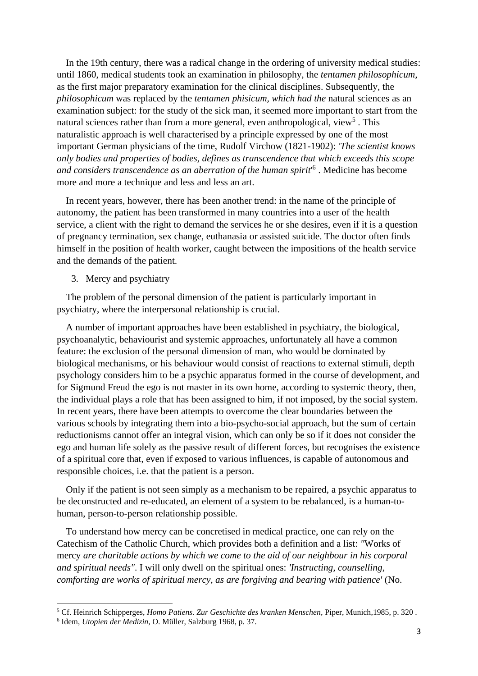In the 19th century, there was a radical change in the ordering of university medical studies: until 1860, medical students took an examination in philosophy, the *tentamen philosophicum,*  as the first major preparatory examination for the clinical disciplines. Subsequently, the *philosophicum* was replaced by the *tentamen phisicum, which had the* natural sciences as an examination subject: for the study of the sick man, it seemed more important to start from the natural sciences rather than from a more general, even anthropological, view<sup>5</sup>. This naturalistic approach is well characterised by a principle expressed by one of the most important German physicians of the time, Rudolf Virchow (1821-1902): *'The scientist knows only bodies and properties of bodies, defines as transcendence that which exceeds this scope and considers transcendence as an aberration of the human spirit*' 6 . Medicine has become more and more a technique and less and less an art.

In recent years, however, there has been another trend: in the name of the principle of autonomy, the patient has been transformed in many countries into a user of the health service, a client with the right to demand the services he or she desires, even if it is a question of pregnancy termination, sex change, euthanasia or assisted suicide. The doctor often finds himself in the position of health worker, caught between the impositions of the health service and the demands of the patient.

3. Mercy and psychiatry

The problem of the personal dimension of the patient is particularly important in psychiatry, where the interpersonal relationship is crucial.

A number of important approaches have been established in psychiatry, the biological, psychoanalytic, behaviourist and systemic approaches, unfortunately all have a common feature: the exclusion of the personal dimension of man, who would be dominated by biological mechanisms, or his behaviour would consist of reactions to external stimuli, depth psychology considers him to be a psychic apparatus formed in the course of development, and for Sigmund Freud the ego is not master in its own home, according to systemic theory, then, the individual plays a role that has been assigned to him, if not imposed, by the social system. In recent years, there have been attempts to overcome the clear boundaries between the various schools by integrating them into a bio-psycho-social approach, but the sum of certain reductionisms cannot offer an integral vision, which can only be so if it does not consider the ego and human life solely as the passive result of different forces, but recognises the existence of a spiritual core that, even if exposed to various influences, is capable of autonomous and responsible choices, i.e. that the patient is a person.

Only if the patient is not seen simply as a mechanism to be repaired, a psychic apparatus to be deconstructed and re-educated, an element of a system to be rebalanced, is a human-tohuman, person-to-person relationship possible.

To understand how mercy can be concretised in medical practice, one can rely on the Catechism of the Catholic Church, which provides both a definition and a list: *"*Works of mercy *are charitable actions by which we come to the aid of our neighbour in his corporal and spiritual needs"*. I will only dwell on the spiritual ones: *'Instructing, counselling, comforting are works of spiritual mercy, as are forgiving and bearing with patience'* (No.

<sup>5</sup> Cf. Heinrich Schipperges, *Homo Patiens. Zur Geschichte des kranken Menschen,* Piper, Munich,1985, p. 320 .

<sup>6</sup> Idem, *Utopien der Medizin*, O. Müller, Salzburg 1968, p. 37.